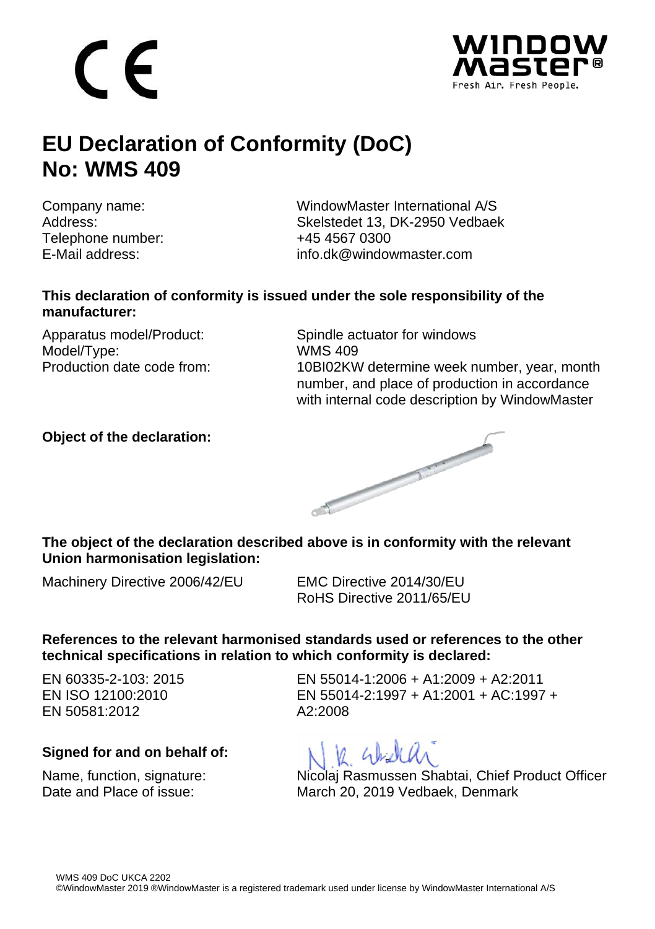$\epsilon$ 



## **EU Declaration of Conformity (DoC) No: WMS 409**

Telephone number:  $+4545570300$ 

Company name: WindowMaster International A/S<br>Address: Skelstedet 13, DK-2950 Vedbael Skelstedet 13, DK-2950 Vedbaek E-Mail address: info.dk@windowmaster.com

### **This declaration of conformity is issued under the sole responsibility of the manufacturer:**

Model/Type: WMS 409<br>Production date code from: 10BI02KW

Apparatus model/Product: Spindle actuator for windows 10BI02KW determine week number, year, month number, and place of production in accordance with internal code description by WindowMaster

### **Object of the declaration:**



### **The object of the declaration described above is in conformity with the relevant Union harmonisation legislation:**

Machinery Directive 2006/42/EU EMC Directive 2014/30/EU

RoHS Directive 2011/65/EU

### **References to the relevant harmonised standards used or references to the other technical specifications in relation to which conformity is declared:**

EN 60335-2-103: 2015 EN ISO 12100:2010 EN 50581:2012

### **Signed for and on behalf of:**

EN 55014-1:2006 + A1:2009 + A2:2011 EN 55014-2:1997 + A1:2001 + AC:1997 + A2:2008

V Gradida

Name, function, signature: Nicolaj Rasmussen Shabtai, Chief Product Officer<br>Nate and Place of issue: Narch 20, 2019 Vedbaek, Denmark March 20, 2019 Vedbaek, Denmark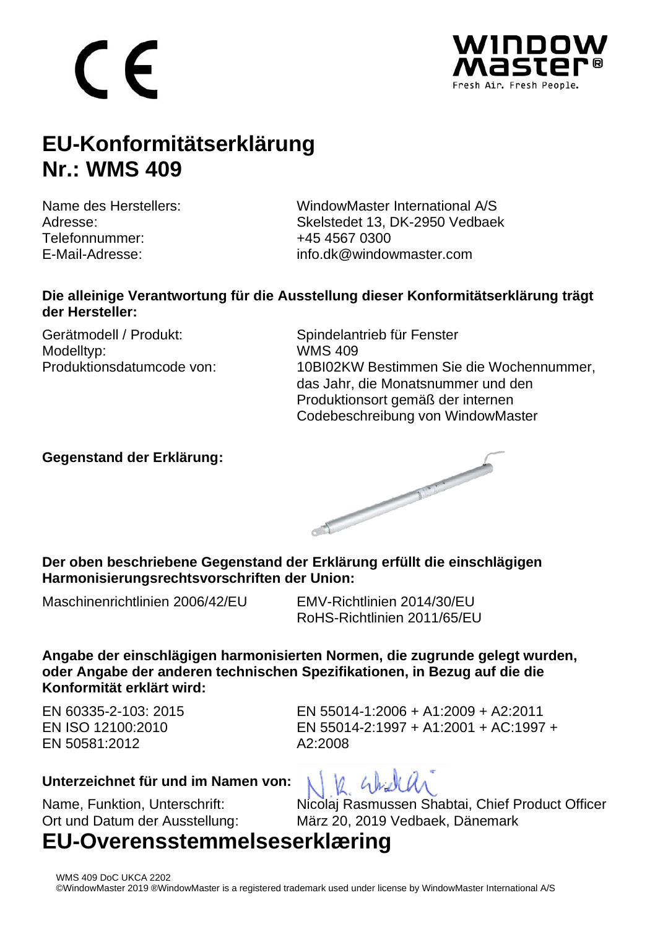## C E



## **EU-Konformitätserklärung Nr.: WMS 409**

Telefonnummer: +45 4567 0300

Name des Herstellers: WindowMaster International A/S<br>Adresse: Skelstedet 13, DK-2950 Vedbael Skelstedet 13, DK-2950 Vedbaek E-Mail-Adresse: info.dk@windowmaster.com

### **Die alleinige Verantwortung für die Ausstellung dieser Konformitätserklärung trägt der Hersteller:**

Gerätmodell / Produkt: Spindelantrieb für Fenster Modelltyp: WMS 409<br>Produktionsdatumcode von: 10BI02KW

10BI02KW Bestimmen Sie die Wochennummer. das Jahr, die Monatsnummer und den Produktionsort gemäß der internen Codebeschreibung von WindowMaster

### **Gegenstand der Erklärung:**



**Der oben beschriebene Gegenstand der Erklärung erfüllt die einschlägigen Harmonisierungsrechtsvorschriften der Union:**

Maschinenrichtlinien 2006/42/EU EMV-Richtlinien 2014/30/EU

RoHS-Richtlinien 2011/65/EU

**Angabe der einschlägigen harmonisierten Normen, die zugrunde gelegt wurden, oder Angabe der anderen technischen Spezifikationen, in Bezug auf die die Konformität erklärt wird:**

 $M$   $4h$ 

EN 60335-2-103: 2015 EN ISO 12100:2010 EN 50581:2012

EN 55014-1:2006 + A1:2009 + A2:2011 EN 55014-2:1997 + A1:2001 + AC:1997 + A2:2008

### **Unterzeichnet für und im Namen von:**

Name, Funktion, Unterschrift: Nicolaj Rasmussen Shabtai, Chief Product Officer Ort und Datum der Ausstellung: März 20, 2019 Vedbaek, Dänemark

### **EU-Overensstemmelseserklæring**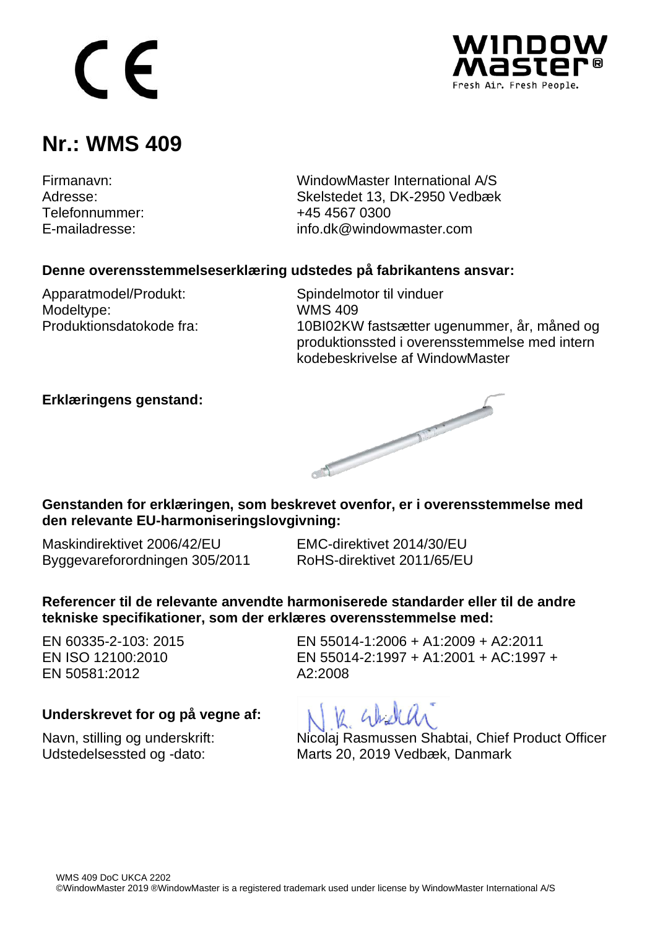# $\epsilon$



### **Nr.: WMS 409**

Telefonnummer:<br>F-mailadresse:

Firmanavn: WindowMaster International A/S Skelstedet 13, DK-2950 Vedbæk<br>+45 4567 0300 info.dk@windowmaster.com

### **Denne overensstemmelseserklæring udstedes på fabrikantens ansvar:**

Apparatmodel/Produkt: Spindelmotor til vinduer<br>Modeltype: WMS 409 Modeltype:

Produktionsdatokode fra: 10BI02KW fastsætter ugenummer, år, måned og produktionssted i overensstemmelse med intern kodebeskrivelse af WindowMaster

### **Erklæringens genstand:**



**Genstanden for erklæringen, som beskrevet ovenfor, er i overensstemmelse med den relevante EU-harmoniseringslovgivning:**

Maskindirektivet 2006/42/EU EMC-direktivet 2014/30/EU Byggevareforordningen 305/2011 RoHS-direktivet 2011/65/EU

**Referencer til de relevante anvendte harmoniserede standarder eller til de andre tekniske specifikationer, som der erklæres overensstemmelse med:**

EN 60335-2-103: 2015 EN ISO 12100:2010 EN 50581:2012

EN 55014-1:2006 + A1:2009 + A2:2011 EN 55014-2:1997 + A1:2001 + AC:1997 +  $A2:2008$ 

#### **Underskrevet for og på vegne af:**

Navn, stilling og underskrift: Nicolaj Rasmussen Shabtai, Chief Product Officer Udstedelsessted og -dato: Marts 20, 2019 Vedbæk, Danmark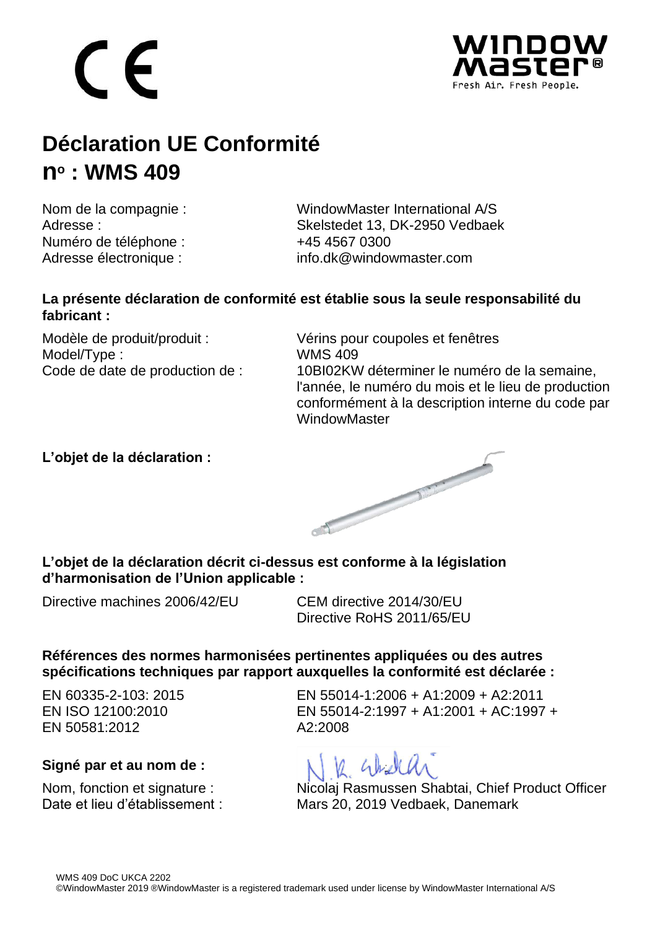## C E



## **Déclaration UE Conformité no : WMS 409**

Numéro de téléphone : +45 4567 0300

Nom de la compagnie :<br>
Adresse : WindowMaster International A/S<br>
Skelstedet 13 DK-2950 Vedbael Skelstedet 13, DK-2950 Vedbaek Adresse électronique : info.dk@windowmaster.com

### **La présente déclaration de conformité est établie sous la seule responsabilité du fabricant :**

Model/Type :<br>Code de date de production de :

Modèle de produit/produit :<br>Model/Type : Model/Type : WMS 409 10BI02KW déterminer le numéro de la semaine. l'année, le numéro du mois et le lieu de production conformément à la description interne du code par **WindowMaster** 

### **L'objet de la déclaration :**



### **L'objet de la déclaration décrit ci-dessus est conforme à la législation d'harmonisation de l'Union applicable :**

Directive machines 2006/42/EU CEM directive 2014/30/EU

Directive RoHS 2011/65/EU

### **Références des normes harmonisées pertinentes appliquées ou des autres spécifications techniques par rapport auxquelles la conformité est déclarée :**

EN 60335-2-103: 2015 EN ISO 12100:2010 EN 50581:2012

### **Signé par et au nom de :**

EN 55014-1:2006 + A1:2009 + A2:2011 EN 55014-2:1997 + A1:2001 + AC:1997 + A2:2008



Nom, fonction et signature : Nicolaj Rasmussen Shabtai, Chief Product Officer Date et lieu d'établissement : Mars 20, 2019 Vedbaek, Danemark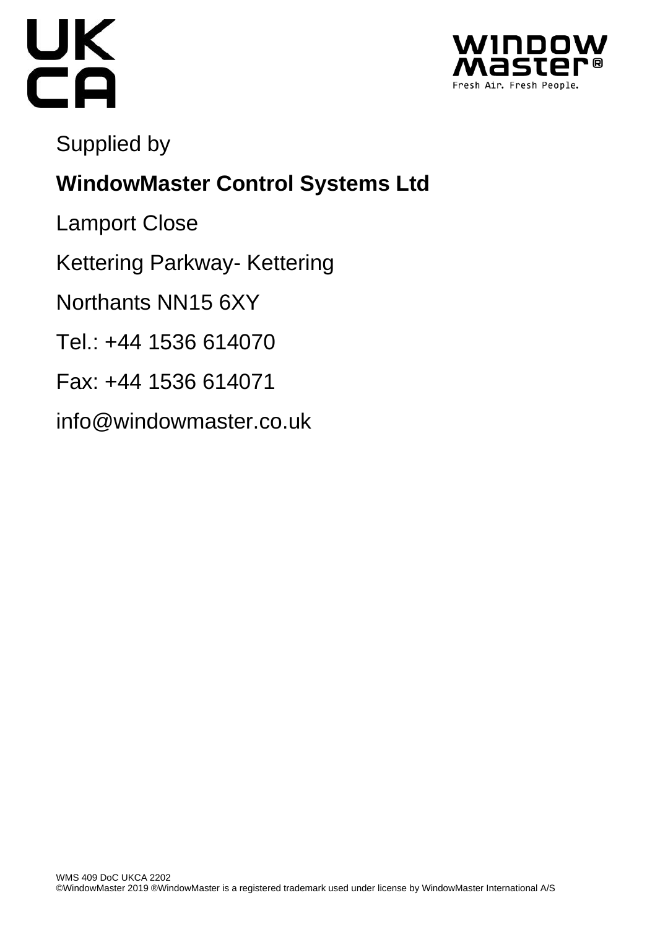



Supplied by

## **WindowMaster Control Systems Ltd**

Lamport Close

Kettering Parkway- Kettering

Northants NN15 6XY

Tel.: +44 1536 614070

- Fax: +44 1536 614071
- info@windowmaster.co.uk